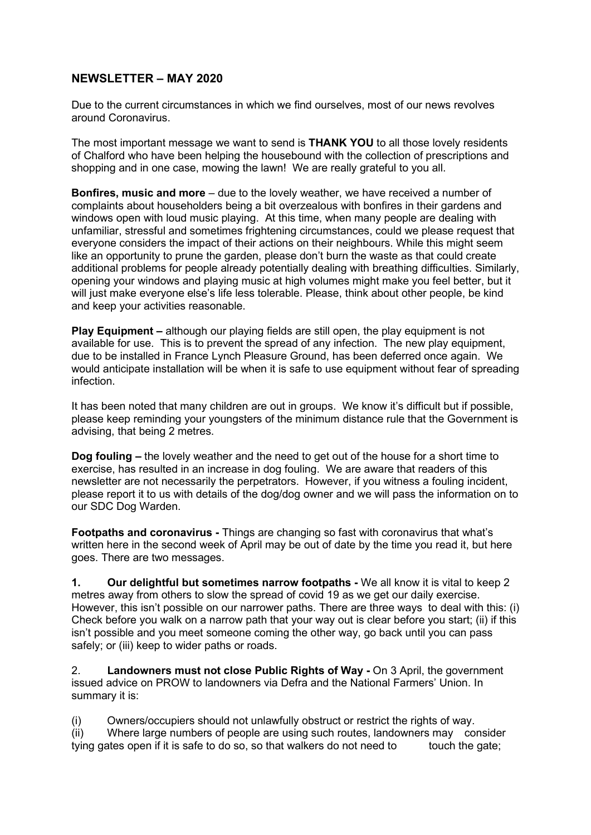## **NEWSLETTER – MAY 2020**

Due to the current circumstances in which we find ourselves, most of our news revolves around Coronavirus.

The most important message we want to send is **THANK YOU** to all those lovely residents of Chalford who have been helping the housebound with the collection of prescriptions and shopping and in one case, mowing the lawn! We are really grateful to you all.

**Bonfires, music and more** – due to the lovely weather, we have received a number of complaints about householders being a bit overzealous with bonfires in their gardens and windows open with loud music playing. At this time, when many people are dealing with unfamiliar, stressful and sometimes frightening circumstances, could we please request that everyone considers the impact of their actions on their neighbours. While this might seem like an opportunity to prune the garden, please don't burn the waste as that could create additional problems for people already potentially dealing with breathing difficulties. Similarly, opening your windows and playing music at high volumes might make you feel better, but it will just make everyone else's life less tolerable. Please, think about other people, be kind and keep your activities reasonable.

**Play Equipment –** although our playing fields are still open, the play equipment is not available for use. This is to prevent the spread of any infection. The new play equipment, due to be installed in France Lynch Pleasure Ground, has been deferred once again. We would anticipate installation will be when it is safe to use equipment without fear of spreading infection.

It has been noted that many children are out in groups. We know it's difficult but if possible, please keep reminding your youngsters of the minimum distance rule that the Government is advising, that being 2 metres.

**Dog fouling –** the lovely weather and the need to get out of the house for a short time to exercise, has resulted in an increase in dog fouling. We are aware that readers of this newsletter are not necessarily the perpetrators. However, if you witness a fouling incident, please report it to us with details of the dog/dog owner and we will pass the information on to our SDC Dog Warden.

**Footpaths and coronavirus -** Things are changing so fast with coronavirus that what's written here in the second week of April may be out of date by the time you read it, but here goes. There are two messages.

**1. Our delightful but sometimes narrow footpaths -** We all know it is vital to keep 2 metres away from others to slow the spread of covid 19 as we get our daily exercise. However, this isn't possible on our narrower paths. There are three ways to deal with this: (i) Check before you walk on a narrow path that your way out is clear before you start; (ii) if this isn't possible and you meet someone coming the other way, go back until you can pass safely; or (iii) keep to wider paths or roads.

2. **Landowners must not close Public Rights of Way -** On 3 April, the government issued advice on PROW to landowners via Defra and the National Farmers' Union. In summary it is:

(i) Owners/occupiers should not unlawfully obstruct or restrict the rights of way. (ii) Where large numbers of people are using such routes, landowners may consider tying gates open if it is safe to do so, so that walkers do not need to touch the gate: